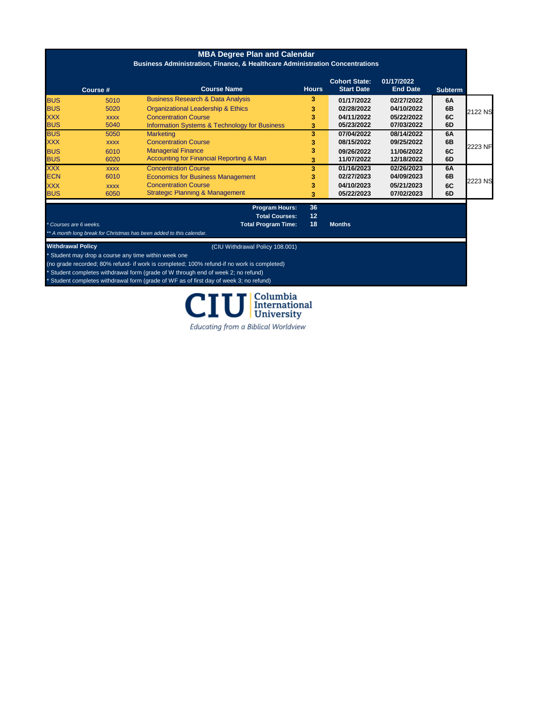| <b>MBA Degree Plan and Calendar</b><br><b>Business Administration, Finance, &amp; Healthcare Administration Concentrations</b> |             |                                                     |              |                                           |                               |                |         |
|--------------------------------------------------------------------------------------------------------------------------------|-------------|-----------------------------------------------------|--------------|-------------------------------------------|-------------------------------|----------------|---------|
|                                                                                                                                | Course #    | <b>Course Name</b>                                  | <b>Hours</b> | <b>Cohort State:</b><br><b>Start Date</b> | 01/17/2022<br><b>End Date</b> | <b>Subterm</b> |         |
| <b>BUS</b>                                                                                                                     | 5010        | <b>Business Research &amp; Data Analysis</b>        | 3            | 01/17/2022                                | 02/27/2022                    | 6A             |         |
| <b>BUS</b>                                                                                                                     | 5020        | <b>Organizational Leadership &amp; Ethics</b>       | 3            | 02/28/2022                                | 04/10/2022                    | 6B             | 2122 NS |
| <b>XXX</b>                                                                                                                     | <b>XXXX</b> | <b>Concentration Course</b>                         | 3            | 04/11/2022                                | 05/22/2022                    | 6C             |         |
| <b>BUS</b>                                                                                                                     | 5040        | Information Systems & Technology for Business       | 3            | 05/23/2022                                | 07/03/2022                    | 6D             |         |
| <b>BUS</b>                                                                                                                     | 5050        | <b>Marketing</b>                                    | 3            | 07/04/2022                                | 08/14/2022                    | 6A             |         |
| <b>XXX</b>                                                                                                                     | <b>XXXX</b> | <b>Concentration Course</b>                         | 3            | 08/15/2022                                | 09/25/2022                    | 6B             |         |
| <b>BUS</b>                                                                                                                     | 6010        | <b>Managerial Finance</b>                           | 3            | 09/26/2022                                | 11/06/2022                    | 6C             | 2223 NF |
| <b>BUS</b>                                                                                                                     | 6020        | <b>Accounting for Financial Reporting &amp; Man</b> |              | 11/07/2022                                | 12/18/2022                    | 6D             |         |
| <b>XXX</b>                                                                                                                     | <b>XXXX</b> | <b>Concentration Course</b>                         | 3            | 01/16/2023                                | 02/26/2023                    | 6A             |         |
| <b>ECN</b>                                                                                                                     | 6010        | <b>Economics for Business Management</b>            | 3            | 02/27/2023                                | 04/09/2023                    | 6B             |         |
| <b>XXX</b>                                                                                                                     | <b>XXXX</b> | <b>Concentration Course</b>                         | 3            | 04/10/2023                                | 05/21/2023                    | 6C             | 2223 NS |
| <b>BUS</b>                                                                                                                     | 6050        | <b>Strategic Planning &amp; Management</b>          | 3            | 05/22/2023                                | 07/02/2023                    | 6D             |         |
|                                                                                                                                |             | <b>Program Hours:</b>                               | 36           |                                           |                               |                |         |
|                                                                                                                                |             | <b>Total Courses:</b>                               | 12           |                                           |                               |                |         |

*\* Courses are 6 weeks.* **Total Program Time: 18 Months**

*\*\* A month long break for Christmas has been added to this calendar.*

**Withdrawal Policy CIU Withdrawal Policy** 108.001)

\* Student may drop a course any time within week one

(no grade recorded; 80% refund- if work is completed; 100% refund-if no work is completed)

\* Student completes withdrawal form (grade of W through end of week 2; no refund)

\* Student completes withdrawal form (grade of WF as of first day of week 3; no refund)

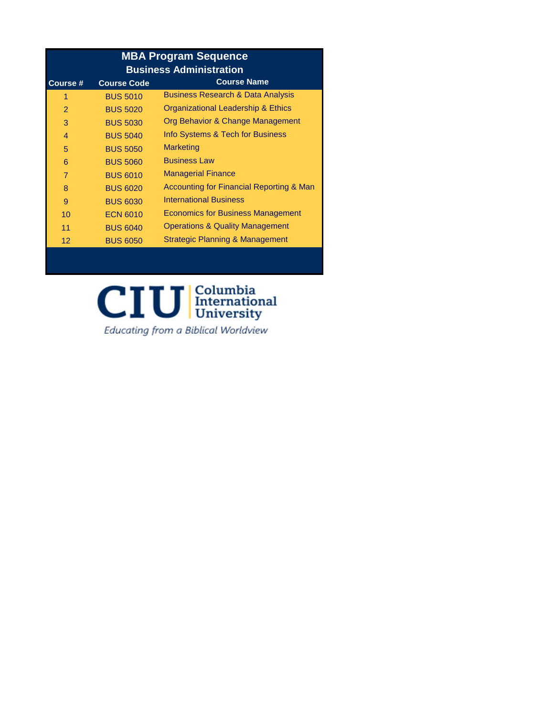| <b>MBA Program Sequence</b><br><b>Business Administration</b> |                    |                                              |  |  |  |  |
|---------------------------------------------------------------|--------------------|----------------------------------------------|--|--|--|--|
| Course #                                                      | <b>Course Code</b> | <b>Course Name</b>                           |  |  |  |  |
| 1                                                             | <b>BUS 5010</b>    | <b>Business Research &amp; Data Analysis</b> |  |  |  |  |
| $\overline{2}$                                                | <b>BUS 5020</b>    | Organizational Leadership & Ethics           |  |  |  |  |
| 3                                                             | <b>BUS 5030</b>    | Org Behavior & Change Management             |  |  |  |  |
| $\overline{\mathcal{A}}$                                      | <b>BUS 5040</b>    | Info Systems & Tech for Business             |  |  |  |  |
| 5                                                             | <b>BUS 5050</b>    | <b>Marketing</b>                             |  |  |  |  |
| 6                                                             | <b>BUS 5060</b>    | <b>Business Law</b>                          |  |  |  |  |
| $\overline{7}$                                                | <b>BUS 6010</b>    | <b>Managerial Finance</b>                    |  |  |  |  |
| 8                                                             | <b>BUS 6020</b>    | Accounting for Financial Reporting & Man     |  |  |  |  |
| 9                                                             | <b>BUS 6030</b>    | <b>International Business</b>                |  |  |  |  |
| 10                                                            | <b>ECN 6010</b>    | <b>Economics for Business Management</b>     |  |  |  |  |
| 11                                                            | <b>BUS 6040</b>    | <b>Operations &amp; Quality Management</b>   |  |  |  |  |
| 12                                                            | <b>BUS 6050</b>    | Strategic Planning & Management              |  |  |  |  |
|                                                               |                    |                                              |  |  |  |  |

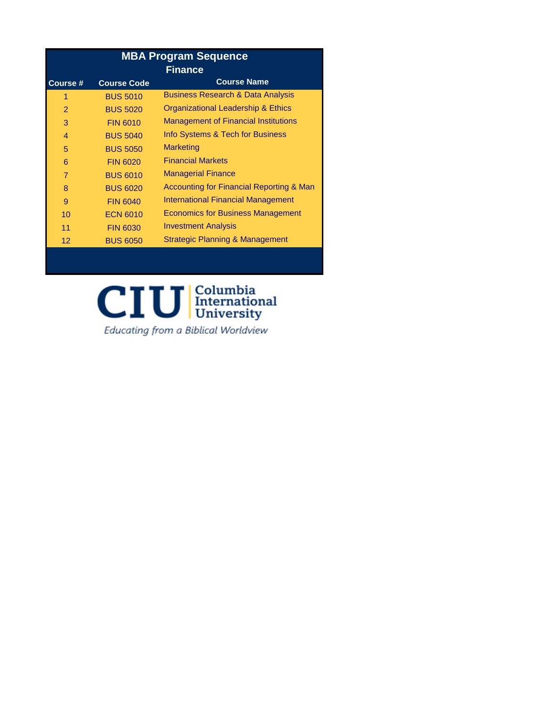| <b>MBA Program Sequence</b> |                    |                                              |  |  |  |
|-----------------------------|--------------------|----------------------------------------------|--|--|--|
| <b>Finance</b>              |                    |                                              |  |  |  |
| Course #                    | <b>Course Code</b> | <b>Course Name</b>                           |  |  |  |
| 1                           | <b>BUS 5010</b>    | <b>Business Research &amp; Data Analysis</b> |  |  |  |
| 2                           | <b>BUS 5020</b>    | Organizational Leadership & Ethics           |  |  |  |
| 3                           | <b>FIN 6010</b>    | <b>Management of Financial Institutions</b>  |  |  |  |
| $\overline{4}$              | <b>BUS 5040</b>    | Info Systems & Tech for Business             |  |  |  |
| 5                           | <b>BUS 5050</b>    | <b>Marketing</b>                             |  |  |  |
| 6                           | <b>FIN 6020</b>    | <b>Financial Markets</b>                     |  |  |  |
| $\overline{7}$              | <b>BUS 6010</b>    | <b>Managerial Finance</b>                    |  |  |  |
| 8                           | <b>BUS 6020</b>    | Accounting for Financial Reporting & Man     |  |  |  |
| 9                           | <b>FIN 6040</b>    | International Financial Management           |  |  |  |
| 10                          | <b>ECN 6010</b>    | <b>Economics for Business Management</b>     |  |  |  |
| 11                          | <b>FIN 6030</b>    | <b>Investment Analysis</b>                   |  |  |  |
| $12 \overline{ }$           | <b>BUS 6050</b>    | Strategic Planning & Management              |  |  |  |
|                             |                    |                                              |  |  |  |